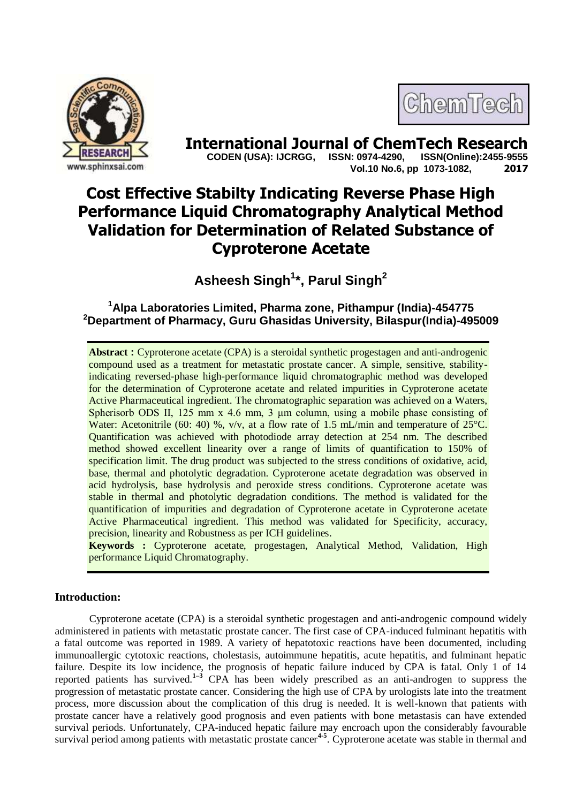



**International Journal of ChemTech Research copen (USA): IJCRGG. ISSN: 0974-4290. ISSN(Online):2455-9555 CODEN (USA): IJCRGG, ISSN: 0974-4290, Vol.10 No.6, pp 1073-1082, 2017**

# **Cost Effective Stabilty Indicating Reverse Phase High Performance Liquid Chromatography Analytical Method Validation for Determination of Related Substance of Cyproterone Acetate**

**Asheesh Singh<sup>1</sup> \*, Parul Singh<sup>2</sup>**

# **<sup>1</sup>Alpa Laboratories Limited, Pharma zone, Pithampur (India)-454775 <sup>2</sup>Department of Pharmacy, Guru Ghasidas University, Bilaspur(India)-495009**

**Abstract :** Cyproterone acetate (CPA) is a steroidal synthetic progestagen and anti-androgenic compound used as a treatment for metastatic prostate cancer. A simple, sensitive, stabilityindicating reversed-phase high-performance liquid chromatographic method was developed for the determination of Cyproterone acetate and related impurities in Cyproterone acetate Active Pharmaceutical ingredient. The chromatographic separation was achieved on a Waters, Spherisorb ODS II, 125 mm x 4.6 mm, 3 μm column, using a mobile phase consisting of Water: Acetonitrile (60: 40) %,  $v/v$ , at a flow rate of 1.5 mL/min and temperature of 25 $^{\circ}$ C. Quantification was achieved with photodiode array detection at 254 nm. The described method showed excellent linearity over a range of limits of quantification to 150% of specification limit. The drug product was subjected to the stress conditions of oxidative, acid, base, thermal and photolytic degradation. Cyproterone acetate degradation was observed in acid hydrolysis, base hydrolysis and peroxide stress conditions. Cyproterone acetate was stable in thermal and photolytic degradation conditions. The method is validated for the quantification of impurities and degradation of Cyproterone acetate in Cyproterone acetate Active Pharmaceutical ingredient. This method was validated for Specificity, accuracy, precision, linearity and Robustness as per ICH guidelines.

**Keywords :** Cyproterone acetate, progestagen, Analytical Method, Validation, High performance Liquid Chromatography.

### **Introduction:**

Cyproterone acetate (CPA) is a steroidal synthetic progestagen and anti-androgenic compound widely administered in patients with metastatic prostate cancer. The first case of CPA-induced fulminant hepatitis with a fatal outcome was reported in 1989. A variety of hepatotoxic reactions have been documented, including immunoallergic cytotoxic reactions, cholestasis, autoimmune hepatitis, acute hepatitis, and fulminant hepatic failure. Despite its low incidence, the prognosis of hepatic failure induced by CPA is fatal. Only 1 of 14 reported patients has survived.<sup>[1–](http://www.ncbi.nlm.nih.gov/pmc/articles/PMC4081269/#b1-cuaj-5-6-e458)3</sup> CPA has been widely prescribed as an anti-androgen to suppress the progression of metastatic prostate cancer. Considering the high use of CPA by urologists late into the treatment process, more discussion about the complication of this drug is needed. It is well-known that patients with prostate cancer have a relatively good prognosis and even patients with bone metastasis can have extended survival periods. Unfortunately, CPA-induced hepatic failure may encroach upon the considerably favourable survival period among patients with metastatic prostate cancer<sup>4-5</sup>. Cyproterone acetate was stable in thermal and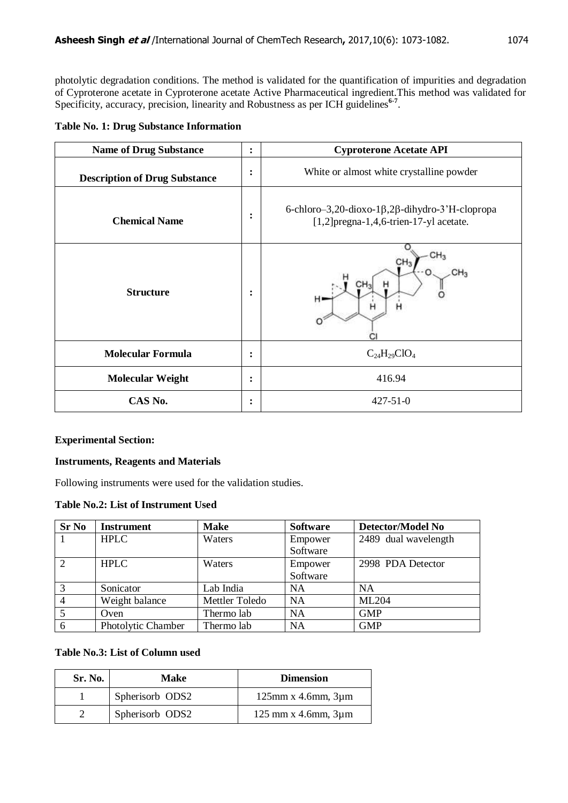photolytic degradation conditions. The method is validated for the quantification of impurities and degradation of Cyproterone acetate in Cyproterone acetate Active Pharmaceutical ingredient.This method was validated for Specificity, accuracy, precision, linearity and Robustness as per ICH guidelines<sup>6-7</sup>.

|  |  |  |  | <b>Table No. 1: Drug Substance Information</b> |
|--|--|--|--|------------------------------------------------|
|--|--|--|--|------------------------------------------------|

| <b>Name of Drug Substance</b>            | $\ddot{\cdot}$ | <b>Cyproterone Acetate API</b>                                                                              |
|------------------------------------------|----------------|-------------------------------------------------------------------------------------------------------------|
| <b>Description of Drug Substance</b>     |                | White or almost white crystalline powder                                                                    |
| <b>Chemical Name</b><br><b>Structure</b> |                | 6-chloro-3,20-dioxo-1 $\beta$ ,2 $\beta$ -dihydro-3'H-clopropa<br>$[1,2]$ pregna-1,4,6-trien-17-yl acetate. |
|                                          |                | CH <sub>3</sub><br>н.<br>н<br>н                                                                             |
| <b>Molecular Formula</b>                 |                | $C_{24}H_{29}ClO_4$                                                                                         |
| <b>Molecular Weight</b>                  | $\ddot{\cdot}$ | 416.94                                                                                                      |
| CAS No.                                  | ٠<br>$\bullet$ | $427 - 51 - 0$                                                                                              |

# **Experimental Section:**

## **Instruments, Reagents and Materials**

Following instruments were used for the validation studies.

### **Table No.2: List of Instrument Used**

| <b>Sr No</b>   | <b>Instrument</b>  | <b>Make</b>    | <b>Software</b> | Detector/Model No    |
|----------------|--------------------|----------------|-----------------|----------------------|
|                | <b>HPLC</b>        | Waters         | Empower         | 2489 dual wavelength |
|                |                    |                | Software        |                      |
| $\overline{2}$ | <b>HPLC</b>        | Waters         | Empower         | 2998 PDA Detector    |
|                |                    |                | Software        |                      |
| 3              | Sonicator          | Lab India      | <b>NA</b>       | <b>NA</b>            |
|                | Weight balance     | Mettler Toledo | NA              | <b>ML204</b>         |
| 5              | Oven               | Thermo lab     | <b>NA</b>       | <b>GMP</b>           |
| 6              | Photolytic Chamber | Thermo lab     | <b>NA</b>       | <b>GMP</b>           |

# **Table No.3: List of Column used**

| Sr. No. | Make            | <b>Dimension</b>                                          |
|---------|-----------------|-----------------------------------------------------------|
|         | Spherisorb ODS2 | $125$ mm x 4.6mm, $3\mu$ m                                |
|         | Spherisorb ODS2 | $125 \text{ mm} \times 4.6 \text{ mm}$ , $3 \mu \text{m}$ |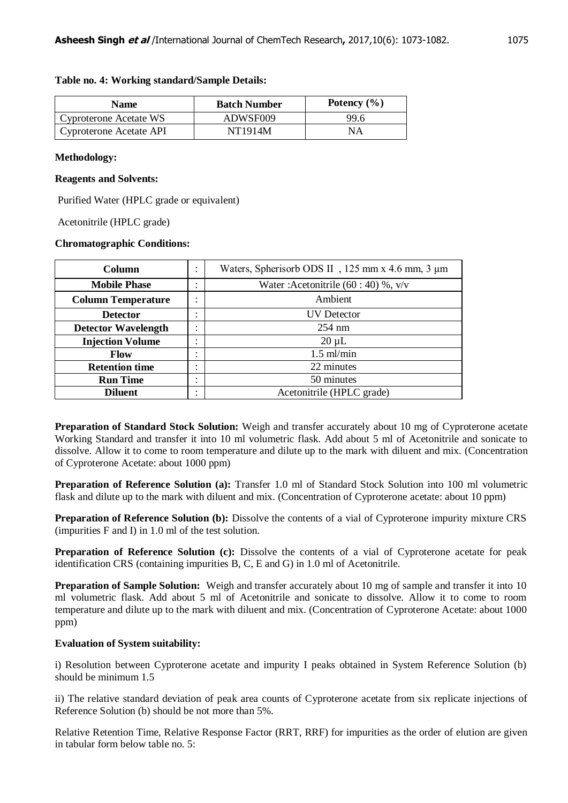| Name                    | <b>Batch Number</b> | Potency $(\% )$ |
|-------------------------|---------------------|-----------------|
| Cyproterone Acetate WS  | ADWSF009            | 99 ճ            |
| Cyproterone Acetate API | NT1914M             | NΑ              |

### **Table no. 4: Working standard/Sample Details:**

## **Methodology:**

### **Reagents and Solvents:**

Purified Water (HPLC grade or equivalent)

Acetonitrile (HPLC grade)

## **Chromatographic Conditions:**

| <b>Column</b>                                                         |                        | Waters, Spherisorb ODS II, 125 mm x 4.6 mm, 3 µm |
|-----------------------------------------------------------------------|------------------------|--------------------------------------------------|
| <b>Mobile Phase</b>                                                   | ٠<br>$\bullet$         | Water: Acetonitrile $(60:40)$ %, v/v             |
| Ambient<br><b>Column Temperature</b><br>$\bullet$<br>$\bullet$        |                        |                                                  |
| <b>Detector</b>                                                       | $\bullet$<br>$\bullet$ | UV Detector                                      |
| <b>Detector Wavelength</b>                                            |                        | $254 \text{ nm}$                                 |
| <b>Injection Volume</b><br>$\bullet$<br>$\bullet$                     |                        | $20 \mu L$                                       |
| <b>Flow</b>                                                           |                        | $1.5$ ml/min                                     |
| <b>Retention time</b>                                                 |                        | 22 minutes                                       |
| <b>Run Time</b><br>$\bullet$<br>$\bullet$                             |                        | 50 minutes                                       |
| Acetonitrile (HPLC grade)<br><b>Diluent</b><br>$\bullet$<br>$\bullet$ |                        |                                                  |

**Preparation of Standard Stock Solution:** Weigh and transfer accurately about 10 mg of Cyproterone acetate Working Standard and transfer it into 10 ml volumetric flask. Add about 5 ml of Acetonitrile and sonicate to dissolve. Allow it to come to room temperature and dilute up to the mark with diluent and mix. (Concentration of Cyproterone Acetate: about 1000 ppm)

**Preparation of Reference Solution (a):** Transfer 1.0 ml of Standard Stock Solution into 100 ml volumetric flask and dilute up to the mark with diluent and mix. (Concentration of Cyproterone acetate: about 10 ppm)

**Preparation of Reference Solution (b):** Dissolve the contents of a vial of Cyproterone impurity mixture CRS (impurities F and I) in 1.0 ml of the test solution.

**Preparation of Reference Solution (c):** Dissolve the contents of a vial of Cyproterone acetate for peak identification CRS (containing impurities B, C, E and G) in 1.0 ml of Acetonitrile.

**Preparation of Sample Solution:** Weigh and transfer accurately about 10 mg of sample and transfer it into 10 ml volumetric flask. Add about 5 ml of Acetonitrile and sonicate to dissolve. Allow it to come to room temperature and dilute up to the mark with diluent and mix. (Concentration of Cyproterone Acetate: about 1000 ppm)

# **Evaluation of System suitability:**

i) Resolution between Cyproterone acetate and impurity I peaks obtained in System Reference Solution (b) should be minimum 1.5

ii) The relative standard deviation of peak area counts of Cyproterone acetate from six replicate injections of Reference Solution (b) should be not more than 5%.

Relative Retention Time, Relative Response Factor (RRT, RRF) for impurities as the order of elution are given in tabular form below table no. 5: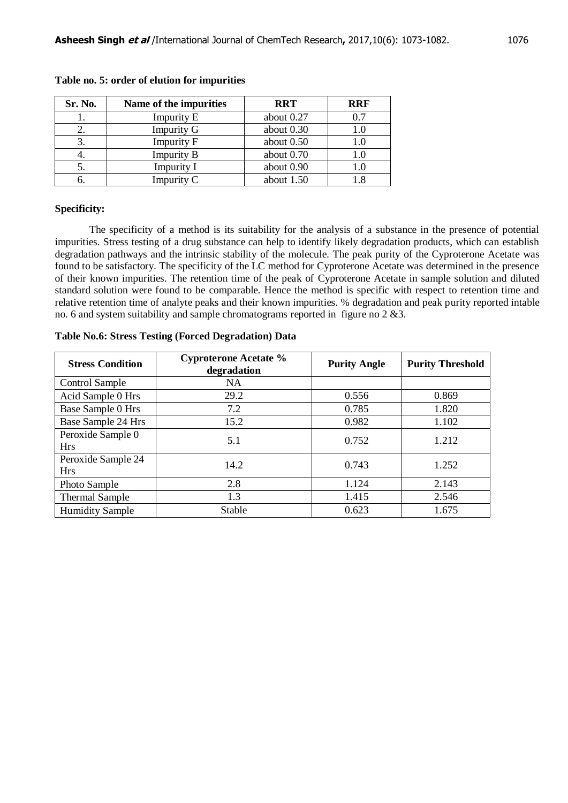| Sr. No. | Name of the impurities | <b>RRT</b>   | <b>RRF</b> |
|---------|------------------------|--------------|------------|
| ı.      | <b>Impurity E</b>      | about 0.27   | 0.7        |
| 2.      | <b>Impurity G</b>      | about $0.30$ | 1.0        |
|         | <b>Impurity F</b>      | about 0.50   | 1.0        |
| 4.      | <b>Impurity B</b>      | about $0.70$ | 1.0        |
|         | <b>Impurity I</b>      | about 0.90   | 1.0        |
|         | Impurity C             | about $1.50$ |            |

**Table no. 5: order of elution for impurities**

### **Specificity:**

The specificity of a method is its suitability for the analysis of a substance in the presence of potential impurities. Stress testing of a drug substance can help to identify likely degradation products, which can establish degradation pathways and the intrinsic stability of the molecule. The peak purity of the Cyproterone Acetate was found to be satisfactory. The specificity of the LC method for Cyproterone Acetate was determined in the presence of their known impurities. The retention time of the peak of Cyproterone Acetate in sample solution and diluted standard solution were found to be comparable. Hence the method is specific with respect to retention time and relative retention time of analyte peaks and their known impurities. % degradation and peak purity reported intable no. 6 and system suitability and sample chromatograms reported in figure no 2 &3.

### **Table No.6: Stress Testing (Forced Degradation) Data**

| <b>Stress Condition</b>          | <b>Cyproterone Acetate %</b><br>degradation | <b>Purity Angle</b> | <b>Purity Threshold</b> |
|----------------------------------|---------------------------------------------|---------------------|-------------------------|
| <b>Control Sample</b>            | <b>NA</b>                                   |                     |                         |
| Acid Sample 0 Hrs                | 29.2                                        | 0.556               | 0.869                   |
| Base Sample 0 Hrs                | 7.2                                         | 0.785               | 1.820                   |
| Base Sample 24 Hrs               | 15.2                                        | 0.982               | 1.102                   |
| Peroxide Sample 0<br><b>Hrs</b>  | 5.1                                         | 0.752               | 1.212                   |
| Peroxide Sample 24<br><b>Hrs</b> | 14.2                                        | 0.743               | 1.252                   |
| Photo Sample                     | 2.8                                         | 1.124               | 2.143                   |
| <b>Thermal Sample</b>            | 1.3                                         | 1.415               | 2.546                   |
| <b>Humidity Sample</b>           | Stable                                      | 0.623               | 1.675                   |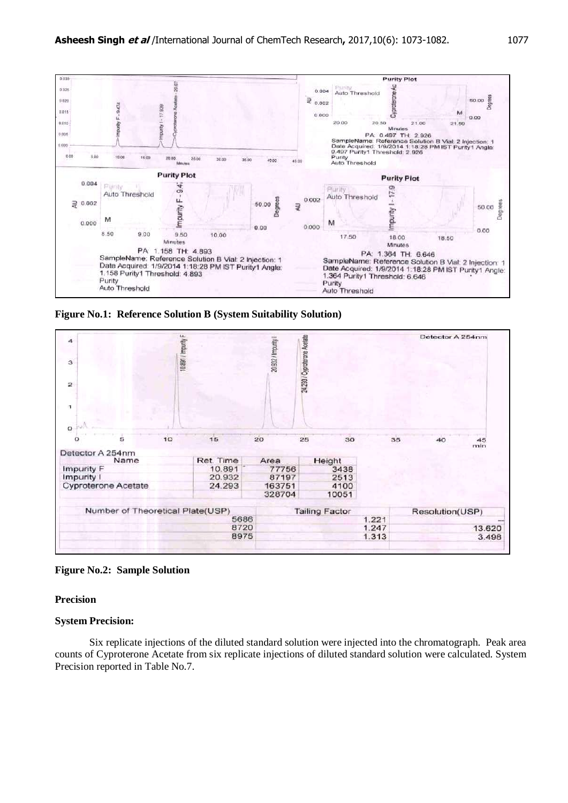

**Figure No.1: Reference Solution B (System Suitability Solution)**



**Figure No.2: Sample Solution**

### **Precision**

### **System Precision:**

Six replicate injections of the diluted standard solution were injected into the chromatograph. Peak area counts of Cyproterone Acetate from six replicate injections of diluted standard solution were calculated. System Precision reported in Table No.7.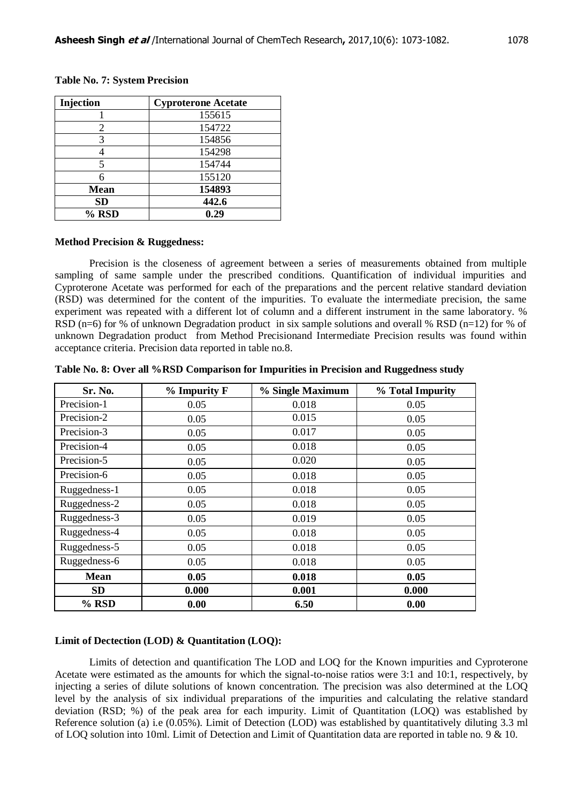| Injection   | <b>Cyproterone Acetate</b> |
|-------------|----------------------------|
|             | 155615                     |
| 2           | 154722                     |
| 3           | 154856                     |
|             | 154298                     |
| 5           | 154744                     |
| б           | 155120                     |
| <b>Mean</b> | 154893                     |
| <b>SD</b>   | 442.6                      |
| % RSD       | 0.29                       |

### **Table No. 7: System Precision**

#### **Method Precision & Ruggedness:**

Precision is the closeness of agreement between a series of measurements obtained from multiple sampling of same sample under the prescribed conditions. Quantification of individual impurities and Cyproterone Acetate was performed for each of the preparations and the percent relative standard deviation (RSD) was determined for the content of the impurities. To evaluate the intermediate precision, the same experiment was repeated with a different lot of column and a different instrument in the same laboratory. % RSD (n=6) for % of unknown Degradation product in six sample solutions and overall % RSD (n=12) for % of unknown Degradation product from Method Precisionand Intermediate Precision results was found within acceptance criteria. Precision data reported in table no.8.

| <b>Sr. No.</b> | % Impurity F | % Single Maximum | % Total Impurity |
|----------------|--------------|------------------|------------------|
| Precision-1    | 0.05         | 0.018            | 0.05             |
| Precision-2    | 0.05         | 0.015            | 0.05             |
| Precision-3    | 0.05         | 0.017            | 0.05             |
| Precision-4    | 0.05         | 0.018            | 0.05             |
| Precision-5    | 0.05         | 0.020            | 0.05             |
| Precision-6    | 0.05         | 0.018            | 0.05             |
| Ruggedness-1   | 0.05         | 0.018            | 0.05             |
| Ruggedness-2   | 0.05         | 0.018            | 0.05             |
| Ruggedness-3   | 0.05         | 0.019            | 0.05             |
| Ruggedness-4   | 0.05         | 0.018            | 0.05             |
| Ruggedness-5   | 0.05         | 0.018            | 0.05             |
| Ruggedness-6   | 0.05         | 0.018            | 0.05             |
| <b>Mean</b>    | 0.05         | 0.018            | 0.05             |
| <b>SD</b>      | 0.000        | 0.001            | 0.000            |
| % RSD          | 0.00         | 6.50             | 0.00             |

**Table No. 8: Over all %RSD Comparison for Impurities in Precision and Ruggedness study**

### **Limit of Dectection (LOD) & Quantitation (LOQ):**

Limits of detection and quantification The LOD and LOQ for the Known impurities and Cyproterone Acetate were estimated as the amounts for which the signal-to-noise ratios were 3:1 and 10:1, respectively, by injecting a series of dilute solutions of known concentration. The precision was also determined at the LOQ level by the analysis of six individual preparations of the impurities and calculating the relative standard deviation (RSD; %) of the peak area for each impurity. Limit of Quantitation (LOQ) was established by Reference solution (a) i.e (0.05%). Limit of Detection (LOD) was established by quantitatively diluting 3.3 ml of LOQ solution into 10ml. Limit of Detection and Limit of Quantitation data are reported in table no. 9 & 10.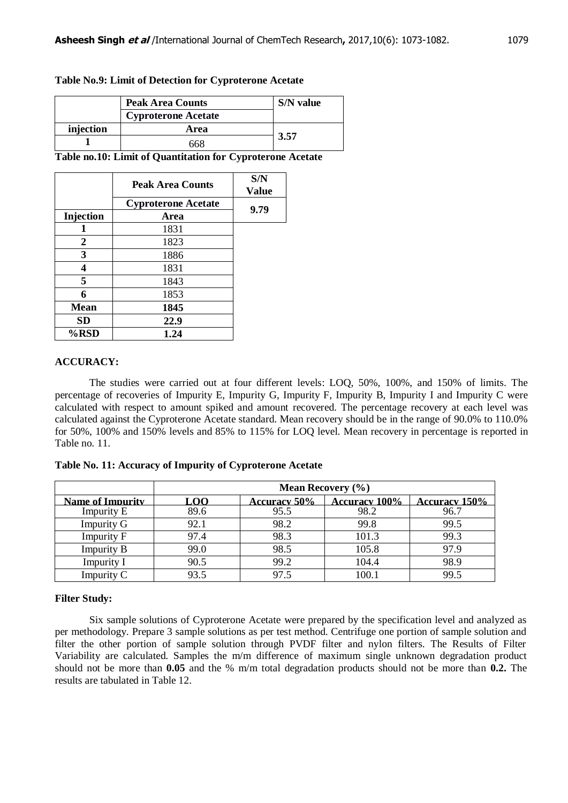### **Table No.9: Limit of Detection for Cyproterone Acetate**

|           | <b>Peak Area Counts</b>    | S/N value |
|-----------|----------------------------|-----------|
|           | <b>Cyproterone Acetate</b> |           |
| injection | Area                       |           |
|           |                            | 3.57      |

**Table no.10: Limit of Quantitation for Cyproterone Acetate**

|             | <b>Peak Area Counts</b>    | S/N<br><b>Value</b> |
|-------------|----------------------------|---------------------|
|             | <b>Cyproterone Acetate</b> | 9.79                |
| Injection   | Area                       |                     |
|             | 1831                       |                     |
| 2           | 1823                       |                     |
| 3           | 1886                       |                     |
| 4           | 1831                       |                     |
| 5           | 1843                       |                     |
| 6           | 1853                       |                     |
| <b>Mean</b> | 1845                       |                     |
| SD          | 22.9                       |                     |
| %RSD        | 1.24                       |                     |

### **ACCURACY:**

The studies were carried out at four different levels: LOQ, 50%, 100%, and 150% of limits. The percentage of recoveries of Impurity E, Impurity G, Impurity F, Impurity B, Impurity I and Impurity C were calculated with respect to amount spiked and amount recovered. The percentage recovery at each level was calculated against the Cyproterone Acetate standard. Mean recovery should be in the range of 90.0% to 110.0% for 50%, 100% and 150% levels and 85% to 115% for LOQ level. Mean recovery in percentage is reported in Table no. 11.

|  |  |  |  |  |  |  |  | Table No. 11: Accuracy of Impurity of Cyproterone Acetate |
|--|--|--|--|--|--|--|--|-----------------------------------------------------------|
|  |  |  |  |  |  |  |  |                                                           |

|                         | <b>Mean Recovery</b> $(\%$ ) |                     |                      |                      |  |  |  |
|-------------------------|------------------------------|---------------------|----------------------|----------------------|--|--|--|
| <b>Name of Impurity</b> | LOO                          | <b>Accuracy 50%</b> | <b>Accuracy 100%</b> | <b>Accuracy 150%</b> |  |  |  |
| <b>Impurity E</b>       | 89.6                         | 95.5                | 98.2                 | 96.7                 |  |  |  |
| <b>Impurity G</b>       | 92.1                         | 98.2                | 99.8                 | 99.5                 |  |  |  |
| <b>Impurity F</b>       | 97.4                         | 98.3                | 101.3                | 99.3                 |  |  |  |
| <b>Impurity B</b>       | 99.0                         | 98.5                | 105.8                | 97.9                 |  |  |  |
| <b>Impurity I</b>       | 90.5                         | 99.2                | 104.4                | 98.9                 |  |  |  |
| Impurity C              | 93.5                         | 97.5                | 100.1                | 99.5                 |  |  |  |

### **Filter Study:**

Six sample solutions of Cyproterone Acetate were prepared by the specification level and analyzed as per methodology. Prepare 3 sample solutions as per test method. Centrifuge one portion of sample solution and filter the other portion of sample solution through PVDF filter and nylon filters. The Results of Filter Variability are calculated. Samples the m/m difference of maximum single unknown degradation product should not be more than **0.05** and the % m/m total degradation products should not be more than **0.2.** The results are tabulated in Table 12.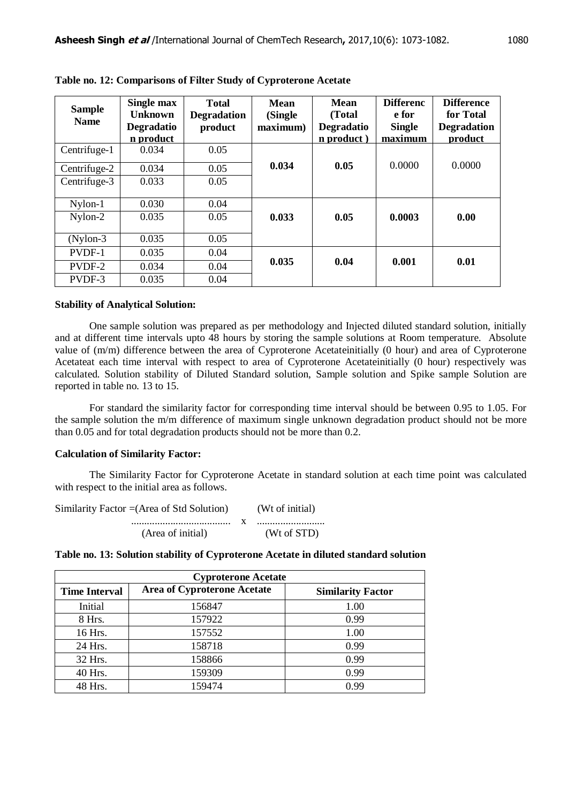| <b>Sample</b><br><b>Name</b> | Single max<br><b>Unknown</b><br><b>Degradatio</b><br>n product | <b>Total</b><br><b>Degradation</b><br>product | Mean<br>(Single<br>maximum) | <b>Mean</b><br>(Total<br><b>Degradatio</b><br>n product) | <b>Differenc</b><br>e for<br><b>Single</b><br>maximum | <b>Difference</b><br>for Total<br><b>Degradation</b><br>product |
|------------------------------|----------------------------------------------------------------|-----------------------------------------------|-----------------------------|----------------------------------------------------------|-------------------------------------------------------|-----------------------------------------------------------------|
| Centrifuge-1                 | 0.034                                                          | 0.05                                          |                             |                                                          |                                                       |                                                                 |
| Centrifuge-2                 | 0.034                                                          | 0.05                                          | 0.034                       | 0.05                                                     | 0.0000                                                | 0.0000                                                          |
| Centrifuge-3                 | 0.033                                                          | 0.05                                          |                             |                                                          |                                                       |                                                                 |
| Nylon-1                      | 0.030                                                          | 0.04                                          |                             |                                                          |                                                       |                                                                 |
| Nylon-2                      | 0.035                                                          | 0.05                                          | 0.033                       | 0.05                                                     | 0.0003                                                | 0.00                                                            |
| $(Nylon-3)$                  | 0.035                                                          | 0.05                                          |                             |                                                          |                                                       |                                                                 |
| PVDF-1                       | 0.035                                                          | 0.04                                          |                             |                                                          |                                                       |                                                                 |
| PVDF-2                       | 0.034                                                          | 0.04                                          | 0.035                       | 0.04                                                     | 0.001                                                 | 0.01                                                            |
| PVDF-3                       | 0.035                                                          | 0.04                                          |                             |                                                          |                                                       |                                                                 |

**Table no. 12: Comparisons of Filter Study of Cyproterone Acetate**

### **Stability of Analytical Solution:**

One sample solution was prepared as per methodology and Injected diluted standard solution, initially and at different time intervals upto 48 hours by storing the sample solutions at Room temperature. Absolute value of (m/m) difference between the area of Cyproterone Acetateinitially (0 hour) and area of Cyproterone Acetateat each time interval with respect to area of Cyproterone Acetateinitially (0 hour) respectively was calculated. Solution stability of Diluted Standard solution, Sample solution and Spike sample Solution are reported in table no. 13 to 15.

For standard the similarity factor for corresponding time interval should be between 0.95 to 1.05. For the sample solution the m/m difference of maximum single unknown degradation product should not be more than 0.05 and for total degradation products should not be more than 0.2.

### **Calculation of Similarity Factor:**

The Similarity Factor for Cyproterone Acetate in standard solution at each time point was calculated with respect to the initial area as follows.

| Similarity Factor $=(Area of Std Solution)$ | (Wt of initial) |
|---------------------------------------------|-----------------|
|                                             |                 |
| (Area of initial)                           | (Wt of STD)     |

**Table no. 13: Solution stability of Cyproterone Acetate in diluted standard solution**

| <b>Cyproterone Acetate</b> |                                    |                          |  |  |  |  |
|----------------------------|------------------------------------|--------------------------|--|--|--|--|
| <b>Time Interval</b>       | <b>Area of Cyproterone Acetate</b> | <b>Similarity Factor</b> |  |  |  |  |
| Initial                    | 156847                             | 1.00                     |  |  |  |  |
| 8 Hrs.                     | 157922                             | 0.99                     |  |  |  |  |
| 16 Hrs.                    | 157552                             | 1.00                     |  |  |  |  |
| 24 Hrs.                    | 158718                             | 0.99                     |  |  |  |  |
| 32 Hrs.                    | 158866                             | 0.99                     |  |  |  |  |
| 40 Hrs.                    | 159309                             | 0.99                     |  |  |  |  |
| 48 Hrs.                    | 159474                             | 0.99                     |  |  |  |  |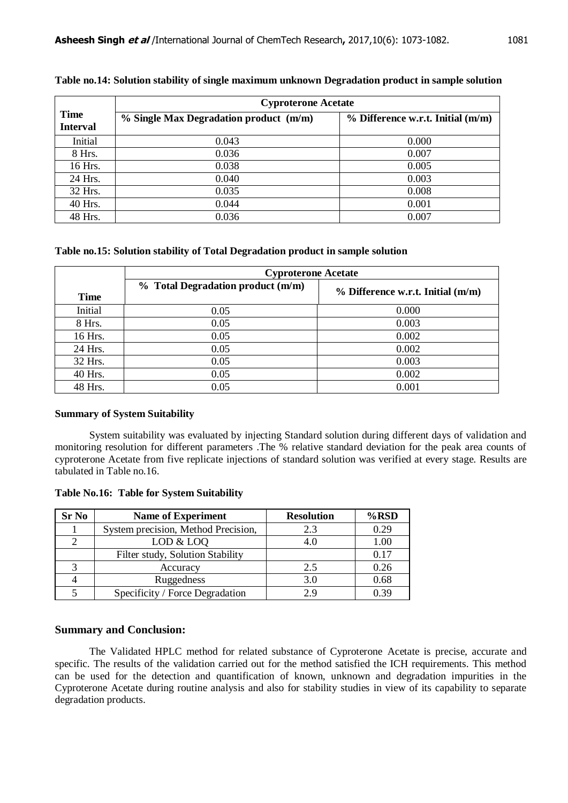|                                | <b>Cyproterone Acetate</b>                 |                                     |  |  |  |  |
|--------------------------------|--------------------------------------------|-------------------------------------|--|--|--|--|
| <b>Time</b><br><b>Interval</b> | $%$ Single Max Degradation product $(m/m)$ | $%$ Difference w.r.t. Initial (m/m) |  |  |  |  |
| Initial                        | 0.043                                      | 0.000                               |  |  |  |  |
| 8 Hrs.                         | 0.036                                      | 0.007                               |  |  |  |  |
| 16 Hrs.                        | 0.038                                      | 0.005                               |  |  |  |  |
| 24 Hrs.                        | 0.040                                      | 0.003                               |  |  |  |  |
| 32 Hrs.                        | 0.035                                      | 0.008                               |  |  |  |  |
| 40 Hrs.                        | 0.044                                      | 0.001                               |  |  |  |  |
| 48 Hrs.                        | 0.036                                      | 0.007                               |  |  |  |  |

# **Table no.14: Solution stability of single maximum unknown Degradation product in sample solution**

**Table no.15: Solution stability of Total Degradation product in sample solution** 

|             | <b>Cyproterone Acetate</b>        |                                     |  |  |  |  |  |
|-------------|-----------------------------------|-------------------------------------|--|--|--|--|--|
| <b>Time</b> | % Total Degradation product (m/m) | $%$ Difference w.r.t. Initial (m/m) |  |  |  |  |  |
| Initial     | 0.05                              | 0.000                               |  |  |  |  |  |
| 8 Hrs.      | 0.05                              | 0.003                               |  |  |  |  |  |
| 16 Hrs.     | 0.05                              | 0.002                               |  |  |  |  |  |
| 24 Hrs.     | 0.05                              | 0.002                               |  |  |  |  |  |
| 32 Hrs.     | 0.05                              | 0.003                               |  |  |  |  |  |
| 40 Hrs.     | 0.05                              | 0.002                               |  |  |  |  |  |
| 48 Hrs.     | 0.05                              | 0.001                               |  |  |  |  |  |

### **Summary of System Suitability**

System suitability was evaluated by injecting Standard solution during different days of validation and monitoring resolution for different parameters .The % relative standard deviation for the peak area counts of cyproterone Acetate from five replicate injections of standard solution was verified at every stage. Results are tabulated in Table no.16.

### **Table No.16: Table for System Suitability**

| <b>Sr No</b> | <b>Name of Experiment</b>           | <b>Resolution</b> | $%$ RSD  |
|--------------|-------------------------------------|-------------------|----------|
|              | System precision, Method Precision, | 2.3               | 0.29     |
|              | LOD & LOO                           |                   | $1.00\,$ |
|              | Filter study, Solution Stability    |                   | 0.17     |
|              | Accuracy                            | 2.5               | 0.26     |
|              | Ruggedness                          | 3.0               | 0.68     |
|              | Specificity / Force Degradation     | 29                |          |

# **Summary and Conclusion:**

The Validated HPLC method for related substance of Cyproterone Acetate is precise, accurate and specific. The results of the validation carried out for the method satisfied the ICH requirements. This method can be used for the detection and quantification of known, unknown and degradation impurities in the Cyproterone Acetate during routine analysis and also for stability studies in view of its capability to separate degradation products.